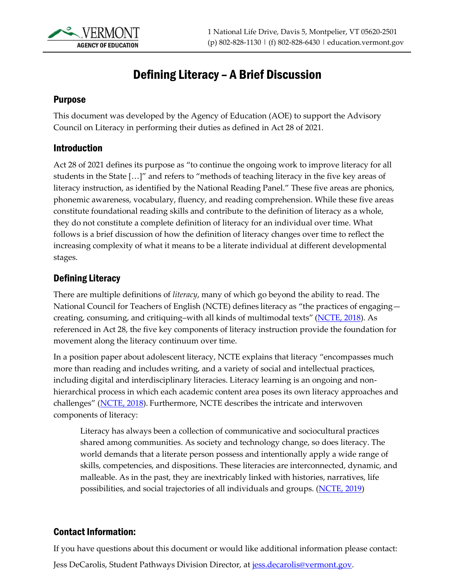

# Defining Literacy – A Brief Discussion

#### Purpose

This document was developed by the Agency of Education (AOE) to support the Advisory Council on Literacy in performing their duties as defined in Act 28 of 2021.

#### Introduction

Act 28 of 2021 defines its purpose as "to continue the ongoing work to improve literacy for all students in the State […]" and refers to "methods of teaching literacy in the five key areas of literacy instruction, as identified by the National Reading Panel." These five areas are phonics, phonemic awareness, vocabulary, fluency, and reading comprehension. While these five areas constitute foundational reading skills and contribute to the definition of literacy as a whole, they do not constitute a complete definition of literacy for an individual over time. What follows is a brief discussion of how the definition of literacy changes over time to reflect the increasing complexity of what it means to be a literate individual at different developmental stages.

#### Defining Literacy

There are multiple definitions of *literacy*, many of which go beyond the ability to read. The National Council for Teachers of English (NCTE) defines literacy as "the practices of engaging— creating, consuming, and critiquing-with all kinds of multimodal texts" [\(NCTE, 2018\)](https://ncte.org/statement/assessmentframingst/). As referenced in Act 28, the five key components of literacy instruction provide the foundation for movement along the literacy continuum over time.

In a position paper about adolescent literacy, NCTE explains that literacy "encompasses much more than reading and includes writing, and a variety of social and intellectual practices, including digital and interdisciplinary literacies. Literacy learning is an ongoing and nonhierarchical process in which each academic content area poses its own literacy approaches and challenges" ([NCTE, 2018\)](https://ncte.org/statement/adolescentliteracy/). Furthermore, NCTE describes the intricate and interwoven components of literacy:

Literacy has always been a collection of communicative and sociocultural practices shared among communities. As society and technology change, so does literacy. The world demands that a literate person possess and intentionally apply a wide range of skills, competencies, and dispositions. These literacies are interconnected, dynamic, and malleable. As in the past, they are inextricably linked with histories, narratives, life possibilities, and social trajectories of all individuals and groups. [\(NCTE, 2019\)](https://ncte.org/statement/nctes-definition-literacy-digital-age/)

### Contact Information:

If you have questions about this document or would like additional information please contact:

Jess DeCarolis, Student Pathways Division Director, at [jess.decarolis@vermont.gov.](mailto:jess.decarolis@vermont.gov)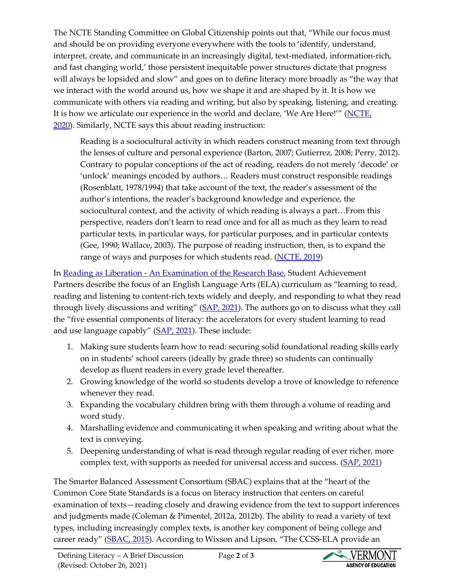The NCTE Standing Committee on Global Citizenship points out that, "While our focus must and should be on providing everyone everywhere with the tools to 'identify, understand, interpret, create, and communicate in an increasingly digital, text-mediated, information-rich, and fast changing world,' those persistent inequitable power structures dictate that progress will always be lopsided and slow" and goes on to define literacy more broadly as "the way that we interact with the world around us, how we shape it and are shaped by it. It is how we communicate with others via reading and writing, but also by speaking, listening, and creating. It is how we articulate our experience in the world and declare, 'We Are Here!'" (NCTE, [2020\)](https://ncte.org/blog/2020/03/literacy-just-reading-writing/). Similarly, NCTE says this about reading instruction:

Reading is a sociocultural activity in which readers construct meaning from text through the lenses of culture and personal experience (Barton, 2007; Gutierrez, 2008; Perry, 2012). Contrary to popular conceptions of the act of reading, readers do not merely 'decode' or 'unlock' meanings encoded by authors… Readers must construct responsible readings (Rosenblatt, 1978/1994) that take account of the text, the reader's assessment of the author's intentions, the reader's background knowledge and experience, the sociocultural context, and the activity of which reading is always a part…From this perspective, readers don't learn to read once and for all as much as they learn to read particular texts, in particular ways, for particular purposes, and in particular contexts (Gee, 1990; Wallace, 2003). The purpose of reading instruction, then, is to expand the range of ways and purposes for which students read. [\(NCTE, 2019\)](https://ncte.org/statement/the-act-of-reading/)

In Reading as Liberation - [An Examination of the Research Base,](https://achievethecore.org/page/3338/reading-as-liberation-an-examination-of-the-research-base) Student Achievement Partners describe the focus of an English Language Arts (ELA) curriculum as "learning to read, reading and listening to content-rich texts widely and deeply, and responding to what they read through lively discussions and writing" [\(SAP, 2021\)](https://achievethecore.org/page/3338/reading-as-liberation-an-examination-of-the-research-base). The authors go on to discuss what they call the "five essential components of literacy: the accelerators for every student learning to read and use language capably" ([SAP, 2021\)](https://achievethecore.org/page/3338/reading-as-liberation-an-examination-of-the-research-base). These include:

- 1. Making sure students learn how to read: securing solid foundational reading skills early on in students' school careers (ideally by grade three) so students can continually develop as fluent readers in every grade level thereafter.
- 2. Growing knowledge of the world so students develop a trove of knowledge to reference whenever they read.
- 3. Expanding the vocabulary children bring with them through a volume of reading and word study.
- 4. Marshalling evidence and communicating it when speaking and writing about what the text is conveying.
- 5. Deepening understanding of what is read through regular reading of ever richer, more complex text, with supports as needed for universal access and success. [\(SAP, 2021\)](https://achievethecore.org/page/3338/reading-as-liberation-an-examination-of-the-research-base)

The Smarter Balanced Assessment Consortium (SBAC) explains that at the "heart of the Common Core State Standards is a focus on literacy instruction that centers on careful examination of texts—reading closely and drawing evidence from the text to support inferences and judgments made (Coleman & Pimentel, 2012a, 2012b). The ability to read a variety of text types, including increasingly complex texts, is another key component of being college and career ready" [\(SBAC, 2015\)](https://portal.smarterbalanced.org/library/en/english-language-artsliteracy-content-specifications.pdf). According to Wixson and Lipson, "The CCSS-ELA provide an